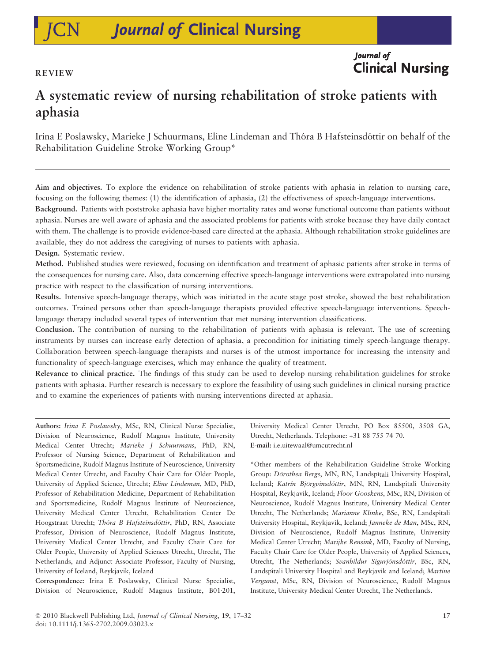# REVIEW

# **Journal of Clinical Nursing**

# A systematic review of nursing rehabilitation of stroke patients with aphasia

Irina E Poslawsky, Marieke J Schuurmans, Eline Lindeman and Tho´ra B Hafsteinsdo´ttir on behalf of the Rehabilitation Guideline Stroke Working Group\*

Aim and objectives. To explore the evidence on rehabilitation of stroke patients with aphasia in relation to nursing care, focusing on the following themes: (1) the identification of aphasia, (2) the effectiveness of speech-language interventions.

Background. Patients with poststroke aphasia have higher mortality rates and worse functional outcome than patients without aphasia. Nurses are well aware of aphasia and the associated problems for patients with stroke because they have daily contact with them. The challenge is to provide evidence-based care directed at the aphasia. Although rehabilitation stroke guidelines are available, they do not address the caregiving of nurses to patients with aphasia.

Design. Systematic review.

Method. Published studies were reviewed, focusing on identification and treatment of aphasic patients after stroke in terms of the consequences for nursing care. Also, data concerning effective speech-language interventions were extrapolated into nursing practice with respect to the classification of nursing interventions.

Results. Intensive speech-language therapy, which was initiated in the acute stage post stroke, showed the best rehabilitation outcomes. Trained persons other than speech-language therapists provided effective speech-language interventions. Speechlanguage therapy included several types of intervention that met nursing intervention classifications.

Conclusion. The contribution of nursing to the rehabilitation of patients with aphasia is relevant. The use of screening instruments by nurses can increase early detection of aphasia, a precondition for initiating timely speech-language therapy. Collaboration between speech-language therapists and nurses is of the utmost importance for increasing the intensity and functionality of speech-language exercises, which may enhance the quality of treatment.

Relevance to clinical practice. The findings of this study can be used to develop nursing rehabilitation guidelines for stroke patients with aphasia. Further research is necessary to explore the feasibility of using such guidelines in clinical nursing practice and to examine the experiences of patients with nursing interventions directed at aphasia.

Authors: Irina E Poslawsky, MSc, RN, Clinical Nurse Specialist, Division of Neuroscience, Rudolf Magnus Institute, University Medical Center Utrecht; Marieke J Schuurmans, PhD, RN, Professor of Nursing Science, Department of Rehabilitation and Sportsmedicine, Rudolf Magnus Institute of Neuroscience, University Medical Center Utrecht, and Faculty Chair Care for Older People, University of Applied Science, Utrecht; Eline Lindeman, MD, PhD, Professor of Rehabilitation Medicine, Department of Rehabilitation and Sportsmedicine, Rudolf Magnus Institute of Neuroscience, University Medical Center Utrecht, Rehabilitation Center De Hoogstraat Utrecht; Thóra B Hafsteinsdóttir, PhD, RN, Associate Professor, Division of Neuroscience, Rudolf Magnus Institute, University Medical Center Utrecht, and Faculty Chair Care for Older People, University of Applied Sciences Utrecht, Utrecht, The Netherlands, and Adjunct Associate Professor, Faculty of Nursing, University of Iceland, Reykjavik, Iceland

Correspondence: Irina E Poslawsky, Clinical Nurse Specialist, Division of Neuroscience, Rudolf Magnus Institute, B01.201, University Medical Center Utrecht, PO Box 85500, 3508 GA, Utrecht, Netherlands. Telephone: +31 88 755 74 70. E-mail: i.e.uitewaal@umcutrecht.nl

\*Other members of the Rehabilitation Guideline Stroke Working Group: Dórothea Bergs, MN, RN, Landspitali University Hospital, Iceland; Katrín Björgvinsdóttir, MN, RN, Landspítali University Hospital, Reykjavík, Iceland; Floor Gooskens, MSc, RN, Division of Neuroscience, Rudolf Magnus Institute, University Medical Center Utrecht, The Netherlands; Marianne Klinke, BSc, RN, Landspitali University Hospital, Reykjavík, Iceland; Janneke de Man, MSc, RN, Division of Neuroscience, Rudolf Magnus Institute, University Medical Center Utrecht; Marijke Rensink, MD, Faculty of Nursing, Faculty Chair Care for Older People, University of Applied Sciences, Utrecht, The Netherlands; Svanhildur Sigurjónsdóttir, BSc, RN, Landspitali University Hospital and Reykjavík and Iceland; Martine Vergunst, MSc, RN, Division of Neuroscience, Rudolf Magnus Institute, University Medical Center Utrecht, The Netherlands.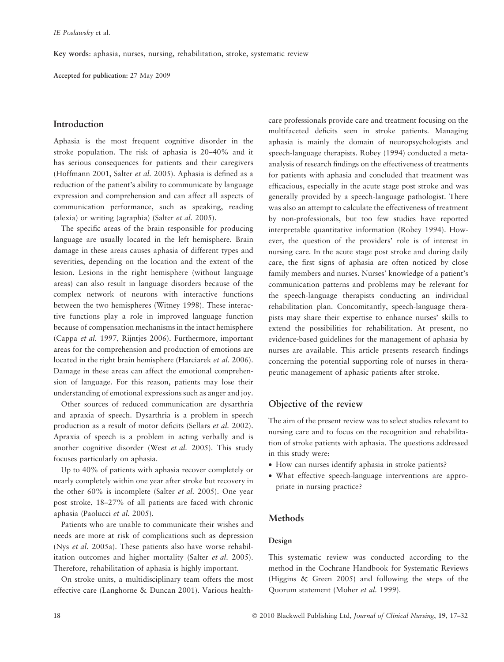Key words: aphasia, nurses, nursing, rehabilitation, stroke, systematic review

Accepted for publication: 27 May 2009

# Introduction

Aphasia is the most frequent cognitive disorder in the stroke population. The risk of aphasia is 20–40% and it has serious consequences for patients and their caregivers (Hoffmann 2001, Salter et al. 2005). Aphasia is defined as a reduction of the patient's ability to communicate by language expression and comprehension and can affect all aspects of communication performance, such as speaking, reading (alexia) or writing (agraphia) (Salter et al. 2005).

The specific areas of the brain responsible for producing language are usually located in the left hemisphere. Brain damage in these areas causes aphasia of different types and severities, depending on the location and the extent of the lesion. Lesions in the right hemisphere (without language areas) can also result in language disorders because of the complex network of neurons with interactive functions between the two hemispheres (Witney 1998). These interactive functions play a role in improved language function because of compensation mechanisms in the intact hemisphere (Cappa et al. 1997, Rijntjes 2006). Furthermore, important areas for the comprehension and production of emotions are located in the right brain hemisphere (Harciarek et al. 2006). Damage in these areas can affect the emotional comprehension of language. For this reason, patients may lose their understanding of emotional expressions such as anger and joy.

Other sources of reduced communication are dysarthria and apraxia of speech. Dysarthria is a problem in speech production as a result of motor deficits (Sellars et al. 2002). Apraxia of speech is a problem in acting verbally and is another cognitive disorder (West et al. 2005). This study focuses particularly on aphasia.

Up to 40% of patients with aphasia recover completely or nearly completely within one year after stroke but recovery in the other 60% is incomplete (Salter et al. 2005). One year post stroke, 18–27% of all patients are faced with chronic aphasia (Paolucci et al. 2005).

Patients who are unable to communicate their wishes and needs are more at risk of complications such as depression (Nys et al. 2005a). These patients also have worse rehabilitation outcomes and higher mortality (Salter et al. 2005). Therefore, rehabilitation of aphasia is highly important.

On stroke units, a multidisciplinary team offers the most effective care (Langhorne & Duncan 2001). Various healthcare professionals provide care and treatment focusing on the multifaceted deficits seen in stroke patients. Managing aphasia is mainly the domain of neuropsychologists and speech-language therapists. Robey (1994) conducted a metaanalysis of research findings on the effectiveness of treatments for patients with aphasia and concluded that treatment was efficacious, especially in the acute stage post stroke and was generally provided by a speech-language pathologist. There was also an attempt to calculate the effectiveness of treatment by non-professionals, but too few studies have reported interpretable quantitative information (Robey 1994). However, the question of the providers' role is of interest in nursing care. In the acute stage post stroke and during daily care, the first signs of aphasia are often noticed by close family members and nurses. Nurses' knowledge of a patient's communication patterns and problems may be relevant for the speech-language therapists conducting an individual rehabilitation plan. Concomitantly, speech-language therapists may share their expertise to enhance nurses' skills to extend the possibilities for rehabilitation. At present, no evidence-based guidelines for the management of aphasia by nurses are available. This article presents research findings concerning the potential supporting role of nurses in therapeutic management of aphasic patients after stroke.

# Objective of the review

The aim of the present review was to select studies relevant to nursing care and to focus on the recognition and rehabilitation of stroke patients with aphasia. The questions addressed in this study were:

- How can nurses identify aphasia in stroke patients?
- What effective speech-language interventions are appropriate in nursing practice?

# Methods

#### Design

This systematic review was conducted according to the method in the Cochrane Handbook for Systematic Reviews (Higgins & Green 2005) and following the steps of the Quorum statement (Moher et al. 1999).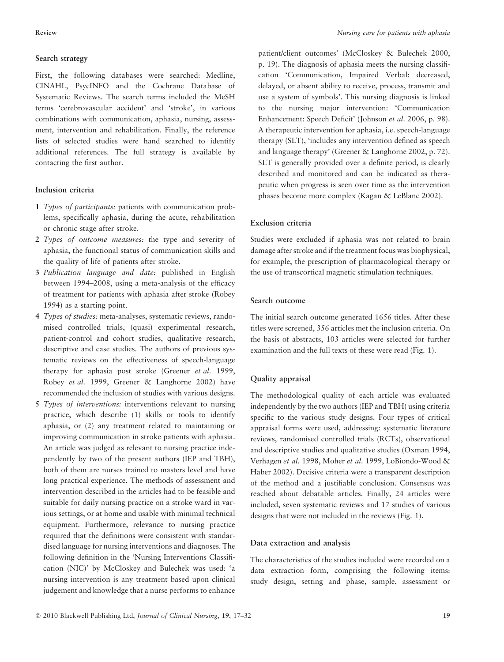#### Search strategy

First, the following databases were searched: Medline, CINAHL, PsycINFO and the Cochrane Database of Systematic Reviews. The search terms included the MeSH terms 'cerebrovascular accident' and 'stroke', in various combinations with communication, aphasia, nursing, assessment, intervention and rehabilitation. Finally, the reference lists of selected studies were hand searched to identify additional references. The full strategy is available by contacting the first author.

# Inclusion criteria

- 1 Types of participants: patients with communication problems, specifically aphasia, during the acute, rehabilitation or chronic stage after stroke.
- 2 Types of outcome measures: the type and severity of aphasia, the functional status of communication skills and the quality of life of patients after stroke.
- 3 Publication language and date: published in English between 1994–2008, using a meta-analysis of the efficacy of treatment for patients with aphasia after stroke (Robey 1994) as a starting point.
- 4 Types of studies: meta-analyses, systematic reviews, randomised controlled trials, (quasi) experimental research, patient-control and cohort studies, qualitative research, descriptive and case studies. The authors of previous systematic reviews on the effectiveness of speech-language therapy for aphasia post stroke (Greener et al. 1999, Robey et al. 1999, Greener & Langhorne 2002) have recommended the inclusion of studies with various designs.
- 5 Types of interventions: interventions relevant to nursing practice, which describe (1) skills or tools to identify aphasia, or (2) any treatment related to maintaining or improving communication in stroke patients with aphasia. An article was judged as relevant to nursing practice independently by two of the present authors (IEP and TBH), both of them are nurses trained to masters level and have long practical experience. The methods of assessment and intervention described in the articles had to be feasible and suitable for daily nursing practice on a stroke ward in various settings, or at home and usable with minimal technical equipment. Furthermore, relevance to nursing practice required that the definitions were consistent with standardised language for nursing interventions and diagnoses. The following definition in the 'Nursing Interventions Classification (NIC)' by McCloskey and Bulechek was used: 'a nursing intervention is any treatment based upon clinical judgement and knowledge that a nurse performs to enhance

patient/client outcomes' (McCloskey & Bulechek 2000, p. 19). The diagnosis of aphasia meets the nursing classification 'Communication, Impaired Verbal: decreased, delayed, or absent ability to receive, process, transmit and use a system of symbols'. This nursing diagnosis is linked to the nursing major intervention: 'Communication Enhancement: Speech Deficit' (Johnson et al. 2006, p. 98). A therapeutic intervention for aphasia, i.e. speech-language therapy (SLT), 'includes any intervention defined as speech and language therapy' (Greener & Langhorne 2002, p. 72). SLT is generally provided over a definite period, is clearly described and monitored and can be indicated as therapeutic when progress is seen over time as the intervention phases become more complex (Kagan & LeBlanc 2002).

#### Exclusion criteria

Studies were excluded if aphasia was not related to brain damage after stroke and if the treatment focus was biophysical, for example, the prescription of pharmacological therapy or the use of transcortical magnetic stimulation techniques.

# Search outcome

The initial search outcome generated 1656 titles. After these titles were screened, 356 articles met the inclusion criteria. On the basis of abstracts, 103 articles were selected for further examination and the full texts of these were read (Fig. 1).

#### Quality appraisal

The methodological quality of each article was evaluated independently by the two authors (IEP and TBH) using criteria specific to the various study designs. Four types of critical appraisal forms were used, addressing: systematic literature reviews, randomised controlled trials (RCTs), observational and descriptive studies and qualitative studies (Oxman 1994, Verhagen et al. 1998, Moher et al. 1999, LoBiondo-Wood & Haber 2002). Decisive criteria were a transparent description of the method and a justifiable conclusion. Consensus was reached about debatable articles. Finally, 24 articles were included, seven systematic reviews and 17 studies of various designs that were not included in the reviews (Fig. 1).

#### Data extraction and analysis

The characteristics of the studies included were recorded on a data extraction form, comprising the following items: study design, setting and phase, sample, assessment or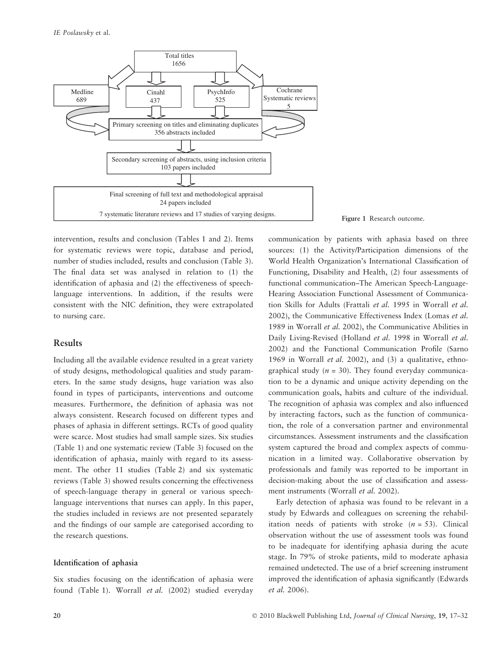

intervention, results and conclusion (Tables 1 and 2). Items for systematic reviews were topic, database and period, number of studies included, results and conclusion (Table 3). The final data set was analysed in relation to (1) the identification of aphasia and (2) the effectiveness of speechlanguage interventions. In addition, if the results were consistent with the NIC definition, they were extrapolated to nursing care.

# Results

Including all the available evidence resulted in a great variety of study designs, methodological qualities and study parameters. In the same study designs, huge variation was also found in types of participants, interventions and outcome measures. Furthermore, the definition of aphasia was not always consistent. Research focused on different types and phases of aphasia in different settings. RCTs of good quality were scarce. Most studies had small sample sizes. Six studies (Table 1) and one systematic review (Table 3) focused on the identification of aphasia, mainly with regard to its assessment. The other 11 studies (Table 2) and six systematic reviews (Table 3) showed results concerning the effectiveness of speech-language therapy in general or various speechlanguage interventions that nurses can apply. In this paper, the studies included in reviews are not presented separately and the findings of our sample are categorised according to the research questions.

### Identification of aphasia

Six studies focusing on the identification of aphasia were found (Table 1). Worrall et al. (2002) studied everyday

communication by patients with aphasia based on three sources: (1) the Activity/Participation dimensions of the World Health Organization's International Classification of Functioning, Disability and Health, (2) four assessments of functional communication–The American Speech-Language-Hearing Association Functional Assessment of Communication Skills for Adults (Frattali et al. 1995 in Worrall et al. 2002), the Communicative Effectiveness Index (Lomas et al. 1989 in Worrall et al. 2002), the Communicative Abilities in Daily Living-Revised (Holland et al. 1998 in Worrall et al. 2002) and the Functional Communication Profile (Sarno 1969 in Worrall et al. 2002), and (3) a qualitative, ethnographical study ( $n = 30$ ). They found everyday communication to be a dynamic and unique activity depending on the communication goals, habits and culture of the individual. The recognition of aphasia was complex and also influenced by interacting factors, such as the function of communication, the role of a conversation partner and environmental circumstances. Assessment instruments and the classification system captured the broad and complex aspects of communication in a limited way. Collaborative observation by professionals and family was reported to be important in decision-making about the use of classification and assessment instruments (Worrall et al. 2002).

Early detection of aphasia was found to be relevant in a study by Edwards and colleagues on screening the rehabilitation needs of patients with stroke  $(n = 53)$ . Clinical observation without the use of assessment tools was found to be inadequate for identifying aphasia during the acute stage. In 79% of stroke patients, mild to moderate aphasia remained undetected. The use of a brief screening instrument improved the identification of aphasia significantly (Edwards et al. 2006).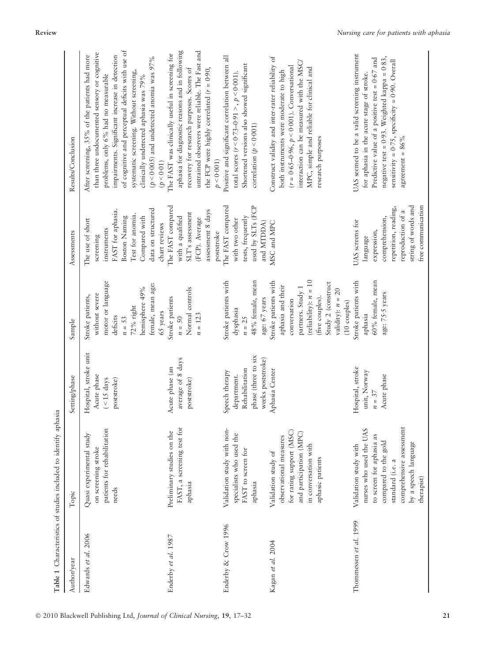|                        | Table 1 Characteristics of studies included to identify aphasia                                                                                                                         |                                                                                             |                                                                                                                                                                                             |                                                                                                                                                                |                                                                                                                                                                                                                                                                                                                                                                                                 |
|------------------------|-----------------------------------------------------------------------------------------------------------------------------------------------------------------------------------------|---------------------------------------------------------------------------------------------|---------------------------------------------------------------------------------------------------------------------------------------------------------------------------------------------|----------------------------------------------------------------------------------------------------------------------------------------------------------------|-------------------------------------------------------------------------------------------------------------------------------------------------------------------------------------------------------------------------------------------------------------------------------------------------------------------------------------------------------------------------------------------------|
| Author/year            | Topic                                                                                                                                                                                   | Setting/phase                                                                               | Sample                                                                                                                                                                                      | Assessments                                                                                                                                                    | Results/Conclusion                                                                                                                                                                                                                                                                                                                                                                              |
| Edwards et al. 2006    | patients for rehabilitation<br>Quasi experimental study<br>on screening stroke<br>needs                                                                                                 | Hospital, stroke unit<br>Acute phase<br>$($ < 15 days<br>poststroke)                        | motor or language<br>female, mean age:<br>hemisphere 49%<br>without severe<br>Stroke patients,<br>72% right<br>65 years<br>deficits<br>$n = 53$                                             | data on structured<br>FAST for aphasia.<br>Test for anomia.<br>Boston Naming<br>Compared with<br>The use of short<br>chart reviews<br>instruments<br>screening | of cognitive and perceptual deficits with use of<br>than three undocumented sensory or cognitive<br>impairments. Significant increase in detection<br>After screening, 35% of the patients had more<br>$(p < 0.005)$ and undetected anomia was $97\%$<br>systematic screening. Without screening,<br>problems, only 6% had no measurable<br>clinically undetected aphasia was 79%<br>$(p<0.01)$ |
| Enderby et al. 1987    | FAST, a screening test for<br>Preliminary studies on the<br>aphasia                                                                                                                     | average of 8 days<br>Acute phase (an<br>poststroke)                                         | Normal controls<br>Stroke patients<br>$n = 123$<br>$n = 50$                                                                                                                                 | The FAST compared<br>assessment 8 days<br>$\operatorname{SLT^s\!}$ assessment<br>with a qualified<br>(FCP). Average<br>poststroke                              | aphasia for diagnostic reasons and in following<br>untrained observers were reliable. The Fast and<br>The FAST was clinically useful in screening for<br>recovery for research purposes. Scores of<br>the FCP were highly correlated ( $r = 0.90$ ,<br>p < 0.001                                                                                                                                |
| Enderby & Crow 1996    | Validation study with non-<br>specialists who used the<br>FAST to screen for<br>aphasia                                                                                                 | phase (three to six<br>weeks poststroke)<br>Rehabilitation<br>Speech therapy<br>department. | 48% female, mean<br>Stroke patients with<br>age: 67 years<br>dysphasia<br>$n = 25$                                                                                                          | The FAST compared<br>used by SLTs (FCP<br>tests, frequently<br>with two other<br>and MTDDA)                                                                    | Positive and significant correlation between all<br>Shortened versions also showed significant<br>total scores ( $r < 0.73-0.91 >$ , $p < 0.001$ ).<br>correlation ( $p < 0.001$ )                                                                                                                                                                                                              |
| Kagan et al. 2004      | for rating support (MSC)<br>and participation (MPC)<br>observational measures<br>in conversation with<br>Validation study of<br>aphasic patients                                        | Aphasia Center                                                                              | (reliability): $n = 10$<br>Stroke patients with<br>Study 2 (construct<br>aphasia and their<br>partners. Study 1<br>validity): $n = 20$<br>(five couples).<br>conversation<br>$(10$ couples) | MSC and MPC                                                                                                                                                    | Construct validity and inter-rater reliability of<br>interaction can be measured with the MSC/<br>$(r = 0.65 - 0.96, p < 0.001)$ . Conversational<br>MPC, simple and reliable for clinical and<br>both instruments were moderate to high<br>research purposes                                                                                                                                   |
| Thommessen et al. 1999 | comprehensive assessment<br>nurses who used the UAS<br>compared to the gold<br>by a speech language<br>to screen for aphasia<br>Validation study with<br>standard (i.e. a<br>therapist) | Hospital, stroke<br>unit, Norway<br>Acute phase<br>$n = 37$                                 | 60% female, mean<br>Stroke patients with<br>age: 75.5 years<br>aphasia                                                                                                                      | string of words and<br>free communication<br>repetition, reading,<br>reproduction of a<br>comprehension,<br>UAS screens for<br>expression,<br>language         | UAS seemed to be a valid screening instrument<br>negative test = $0.93$ . Weighted kappa = $0.83$ ,<br>Predictive value of a positive test $= 0.67$ and<br>sensitivity = $0.75$ , specificity = $0.90$ . Overall<br>for aphasia in the acute stage of stroke.<br>agreement = $86\%$                                                                                                             |

Table 1 Characteristics of studies included to identify aphasia included to identify  $\ddot{\tau}$  $\gamma$ f st $\eta$  $n_{\rm eff}$  $\ddot{\ddot{\tau}}$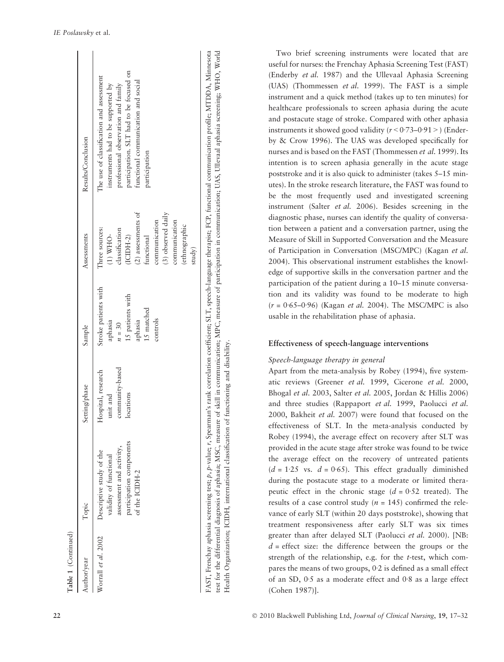| Author/year         | Topic                                                                                                                        | Setting/phase                                                  | Sample                                                                                               | Assessments                                                                                                                                                                           | Results/Conclusion                                                                                                                                                                                                                                                                                                                                                           |
|---------------------|------------------------------------------------------------------------------------------------------------------------------|----------------------------------------------------------------|------------------------------------------------------------------------------------------------------|---------------------------------------------------------------------------------------------------------------------------------------------------------------------------------------|------------------------------------------------------------------------------------------------------------------------------------------------------------------------------------------------------------------------------------------------------------------------------------------------------------------------------------------------------------------------------|
| Worrall et al. 2002 | participation components<br>assessment and activity,<br>Descriptive study of the<br>validity of functional<br>of the ICIDH-2 | community-based<br>Hospital, research<br>locations<br>unit and | Stroke patients with<br>15 patients with<br>15 matched<br>controls<br>aphasia<br>aphasia<br>$n = 30$ | $(2)$ assessments of<br>(3) observed daily<br>communication<br>communication<br>ethnographic<br>Three sources:<br>classification<br>$(ICIDH-2)$<br>$(1)$ WHO-<br>functional<br>study) | participation. SLT had to be focused on<br>The use of classification and assessment<br>functional communication and social<br>professional observation and family<br>instruments had to be supported by<br>participation                                                                                                                                                     |
|                     |                                                                                                                              |                                                                |                                                                                                      |                                                                                                                                                                                       | test for the differential diagnosis of aphasia; MSC, measure of skill in communication; MPC, measure of participation in communication; UAS, Ullevaal aphasia screening; WHO, World<br>AST, Frenchay aphasia screening test; p, p-value; r, Spearman's rank correlation coefficient; SLT, speech-language therapist; FCP, functional communication profile; MTDDA, Minnesota |

Health Organization; ICIDH, international classification of functioning and disability.

Health Organization; ICIDH, international classification of functioning and disability.

Two brief screening instruments were located that are useful for nurses: the Frenchay Aphasia Screening Test (FAST) (Enderby et al. 1987) and the Ullevaal Aphasia Screening (UAS) (Thommessen et al. 1999). The FAST is a simple instrument and a quick method (takes up to ten minutes) for healthcare professionals to screen aphasia during the acute and postacute stage of stroke. Compared with other aphasia instruments it showed good validity  $(r < 0.73-0.91)$  (Enderby & Crow 1996). The UAS was developed specifically for nurses and is based on the FAST (Thommessen et al. 1999). Its intention is to screen aphasia generally in the acute stage poststroke and it is also quick to administer (takes 5–15 minutes). In the stroke research literature, the FAST was found to be the most frequently used and investigated screening instrument (Salter et al. 2006). Besides screening in the diagnostic phase, nurses can identify the quality of conversation between a patient and a conversation partner, using the Measure of Skill in Supported Conversation and the Measure of Participation in Conversation (MSC/MPC) (Kagan et al. 2004). This observational instrument establishes the knowledge of supportive skills in the conversation partner and the participation of the patient during a 10–15 minute conversation and its validity was found to be moderate to high  $(r = 0.65 - 0.96)$  (Kagan *et al.* 2004). The MSC/MPC is also usable in the rehabilitation phase of aphasia.

#### Effectiveness of speech-language interventions

# Speech-language therapy in general

Apart from the meta-analysis by Robey (1994), five systematic reviews (Greener et al. 1999, Cicerone et al. 2000, Bhogal et al. 2003, Salter et al. 2005, Jordan & Hillis 2006) and three studies (Rappaport et al. 1999, Paolucci et al. 2000, Bakheit et al. 2007) were found that focused on the effectiveness of SLT. In the meta-analysis conducted by Robey (1994), the average effect on recovery after SLT was provided in the acute stage after stroke was found to be twice the average effect on the recovery of untreated patients  $(d = 1.25 \text{ vs. } d = 0.65)$ . This effect gradually diminished during the postacute stage to a moderate or limited therapeutic effect in the chronic stage  $(d = 0.52$  treated). The results of a case control study ( $n = 145$ ) confirmed the relevance of early SLT (within 20 days poststroke), showing that treatment responsiveness after early SLT was six times greater than after delayed SLT (Paolucci et al. 2000). [NB:  $d =$  effect size: the difference between the groups or the strength of the relationship, e.g. for the t-test, which compares the means of two groups, 0.2 is defined as a small effect of an SD,  $0.5$  as a moderate effect and  $0.8$  as a large effect (Cohen 1987)].

Table 1 (Continued)

(Continued)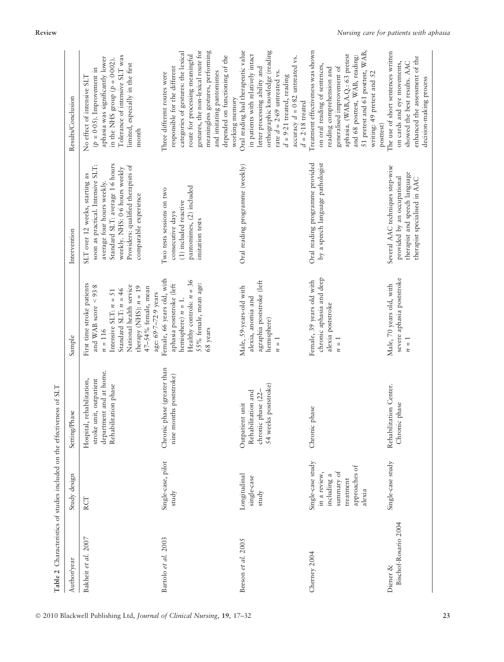| Table 2 Characteristics of studies included on the effectiveness of SLT |                                                                                                      |                                                                                                         |                                                                                                                                                                                                                           |                                                                                                                                                                                                                                      |                                                                                                                                                                                                                                                                                           |
|-------------------------------------------------------------------------|------------------------------------------------------------------------------------------------------|---------------------------------------------------------------------------------------------------------|---------------------------------------------------------------------------------------------------------------------------------------------------------------------------------------------------------------------------|--------------------------------------------------------------------------------------------------------------------------------------------------------------------------------------------------------------------------------------|-------------------------------------------------------------------------------------------------------------------------------------------------------------------------------------------------------------------------------------------------------------------------------------------|
| Author/year                                                             | Study design                                                                                         | Setting/Phase                                                                                           | Sample                                                                                                                                                                                                                    | Intervention                                                                                                                                                                                                                         | Results/Conclusion                                                                                                                                                                                                                                                                        |
| Bakheit et al. 2007                                                     | RCT                                                                                                  | department and at home.<br>stroke unit, outpatient<br>Hospital, rehabilitation,<br>Rehabilitation phase | First time stroke patients<br>and WAB score $<$ 93.8<br>National health service<br>therapy (NHS): $n = 19$<br>47-54% female, mean<br>Standard SLT: $n = 46$<br>Intensive SLT: $n = 51$<br>age: 69.7-72.9 years<br>$n=116$ | Standard SLT: average 1.6 hours<br>soon as practical. Intensive SLT:<br>Providers: qualified therapists of<br>weekly. NHS: 0.6 hours weekly<br>SLT over 12 weeks, starting as<br>average four hours weekly.<br>comparable experience | Tolerance of intensive SLT was<br>aphasia was significantly lower<br>in the NHS group $(p = 0.002)$ .<br>limited, especially in the first<br>( $p = 0.05$ ). Improvement in<br>No effect of intensive SLT<br>month                                                                        |
| Bartolo et al. 2003                                                     | Single-case, pilot<br>study                                                                          | Chronic phase (greater than<br>nine months poststroke)                                                  | Female, 66 years old, with<br>Healthy controls: $n = 36$<br>55% female, mean age:<br>aphasia poststroke (left<br>hemisphere) $n = 1$ .<br>68 years                                                                        | pantomimes, (2) included<br>Two tests sessions on two<br>(1) included reactive<br>consecutive days<br>imitation tests                                                                                                                | gestures, the non-lexical route for<br>meaningless gestures, performing<br>categories of gestures: the lexical<br>route for processing meaningful<br>depended on functioning of the<br>responsible for the different<br>and imitating pantomimes<br>Three different routes were           |
| Beeson et al. 2005                                                      | Longitudinal<br>single-case<br>study                                                                 | 54 weeks poststroke)<br>Rehabilitation and<br>chronic phase (22-<br>Outpatient unit                     | agraphia poststroke (left<br>Male, 59-years-old with<br>alexia, anomia and<br>hemisphere)<br>$n=1$                                                                                                                        | Oral reading programme (weekly)                                                                                                                                                                                                      | Oral reading had therapeutic value<br>orthographic knowledge (reading<br>in patients with relatively intact<br>accuracy $d = 0.82$ untreated vs.<br>letter processing ability and<br>rate $d = 2.69$ untreated vs.<br>$d = 9.21$ treated, reading<br>working memory<br>$d = 2.18$ treated |
| Cherney 2004                                                            | Single-case study<br>approaches of<br>summary of<br>in a review,<br>treatment<br>including<br>alexia | Chronic phase                                                                                           | chronic aphasia and deep<br>Female, 39 years old with<br>alexia poststroke<br>$n=1$                                                                                                                                       | Oral reading programme provided<br>by a speech language pathologist                                                                                                                                                                  | Treatment effectiveness was shown<br>51 pretest and 61 posttest, WAB,<br>aphasia. (WAB, A.Q.: 63 pretest<br>and 68 posttest, WAB, reading:<br>on oral reading of sentences,<br>generalised improvement of<br>reading comprehension and<br>writing: 49 pretest and 52                      |
| Bischof-Rosario 2004<br>Diener &                                        | Single-case study                                                                                    | Rehabilitation Center.<br>Chronic phase                                                                 | severe aphasia poststroke<br>Male, 70 years old, with<br>$n=1$                                                                                                                                                            | Several AAC techniques step-wise<br>therapist and speech language<br>provided by an occupational<br>therapist specialised in AAC                                                                                                     | The use of short sentences written<br>enhanced the assessment of the<br>on cards and eye movements,<br>showed the best results. AAC<br>decision-making process<br>posttest)                                                                                                               |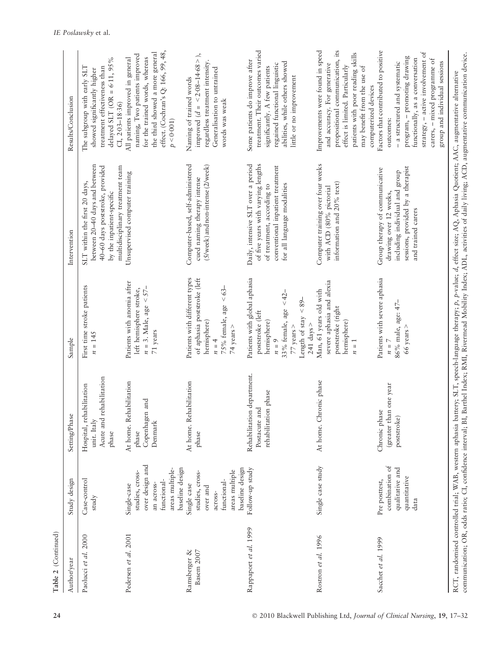| Table 2 (Continued)                                    |                                                                                                                      |                                                                                 |                                                                                                                                                                             |                                                                                                                                                                                                                                                                                                              |                                                                                                                                                                                                                                                             |
|--------------------------------------------------------|----------------------------------------------------------------------------------------------------------------------|---------------------------------------------------------------------------------|-----------------------------------------------------------------------------------------------------------------------------------------------------------------------------|--------------------------------------------------------------------------------------------------------------------------------------------------------------------------------------------------------------------------------------------------------------------------------------------------------------|-------------------------------------------------------------------------------------------------------------------------------------------------------------------------------------------------------------------------------------------------------------|
| Author/year                                            | Study design                                                                                                         | ase<br><b>SettingPh</b>                                                         | Sample                                                                                                                                                                      | Intervention                                                                                                                                                                                                                                                                                                 | Results/Conclusion                                                                                                                                                                                                                                          |
| Paolucci et al. 2000                                   | Case-control<br>study                                                                                                | Acute and rehabilitation<br>rehabilitation<br>unit. Italy<br>Hospital,<br>phase | First time stroke patients<br>$n = 145$                                                                                                                                     | between 20-40 days and between<br>40-60 days poststroke, provided<br>multidisciplinary treatment team<br>SLT within the first 20 days,<br>by the inpatient-specific                                                                                                                                          | delayed SLT (OR = $6.11$ , $95\%$<br>The subgroup with early SLT<br>treatment effectiveness than<br>showed significantly higher<br>$CI, 2.03 - 18.36$                                                                                                       |
| Pedersen et al. 2001                                   | over design and<br>baseline design<br>areas multiple-<br>studies, cross-<br>functional-<br>an across-<br>Single-case | Rehabilitation<br>Copenhagen and<br>Denmark<br>At home.<br>phase                | Patients with anomia after<br>$n = 3$ . Male, age < 57-<br>left hemisphere stroke,<br>$71$ years                                                                            | Unsupervised computer training                                                                                                                                                                                                                                                                               | effect. (Cochran's Q: 166, 99, 48,<br>the third showed a more general<br>naming, Two patients improved<br>for the trained words, whereas<br>All patients improved in general<br>p < 0.001                                                                   |
| Basem $2007$<br>Ramsberger &                           | baseline design<br>areas multiple<br>studies, cross-<br>functional-<br>Single case<br>over and<br>across-            | Rehabilitation<br>At home.<br>phase                                             | Patients with different types<br>of aphasia poststroke (left<br>75% female, age $<63$<br>hemisphere)<br>74 years $>$<br>$n = 4$                                             | Computer-based, self-administered<br>(5/week) and non-intense (2/week)<br>cued naming therapy intense                                                                                                                                                                                                        | improved $(d = < 2.08-14.68 >)$ ,<br>regardless treatment intensity.<br>Generalisation to untrained<br>Naming of trained words<br>words was weak                                                                                                            |
| Rappaport et al. 1999                                  | Follow-up study                                                                                                      | Rehabilitation department.<br>rehabilitation phase<br>Postacute and             | Patients with global aphasia<br>33% female, age $\leq 42$ -<br>Length of stay $< 89-$<br>poststroke (left<br>hemisphere)<br>$241 \text{ days} >$<br>77 years $>$<br>$n = 9$ | Daily, intensive SLT over a period<br>of five years with varying lengths<br>conventional inpatient treatment<br>for all language modalities<br>of treatment, according to                                                                                                                                    | treatment. Their outcomes varied<br>Some patients do improve after<br>abilities, while others showed<br>regained functional linguistic<br>significantly. A few patients<br>little or no improvement                                                         |
| Rostron et al. 1996                                    | Single case study                                                                                                    | Chronic phase<br>At home.                                                       | severe aphasia and alexia<br>Man, 61 years old with<br>poststroke (right<br>hemisphere)<br>$n = 1$                                                                          | Computer training over four weeks<br>information and 20% text)<br>with ACD (80% pictorial                                                                                                                                                                                                                    | Improvements were found in speed<br>propositional communication, its<br>patients with poor reading skills<br>and accuracy. For generative<br>effect is limited. Particularly<br>may benefit from the use of<br>computerized devices                         |
| Sacchet et al. 1999                                    | combination of<br>qualitative and<br>quantitative<br>Pre posttest,<br>data                                           | (greater than one year<br>Chronic phase<br>poststroke)                          | Patients with severe aphasia<br>86% male, age: 47-<br>66 years $>$<br>$n = 7$                                                                                               | sessions, provided by a therapist<br>Group therapy of communicative<br>including individual and group<br>drawing over 12 weeks,<br>and trained carers                                                                                                                                                        | Factors that contributed to positive<br>strategy, - active involvement of<br>program, - promoting drawing<br>functionally, as a conversation<br>carers, - mixed programme of<br>- a structured and systematic<br>group and individual sessions<br>outcomes: |
| RCT, randomised controlled trial; WAB, western aphasia |                                                                                                                      |                                                                                 |                                                                                                                                                                             | communication; OR, odds ratio; CI, confidence interval; BI, Barthel Index; RMI, Rivermead Mobility Index; ADL, activities of daily living; ACD, augmentative communication device.<br>battery; SLT, speech-language therapy; p, p-value; d, effect size; AQ, Aphasia Quotient; AAC, augmentative alternative |                                                                                                                                                                                                                                                             |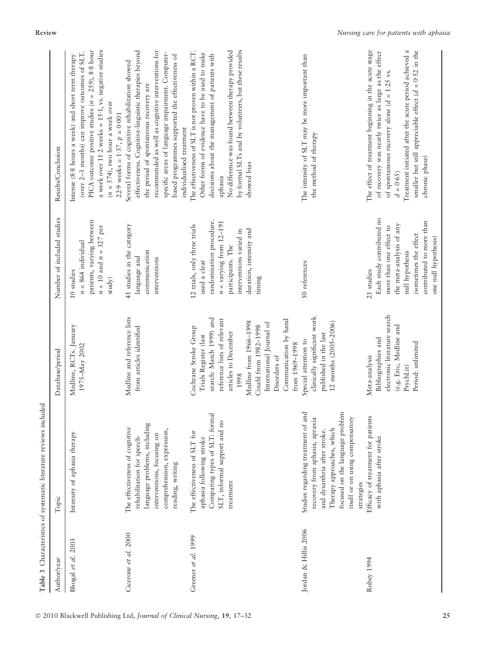|                      | Table 3 Characteristics of systematic literature reviews included                                                                                                                                          |                                                                                                                                                                                                                                                                  |                                                                                                                                                                                                |                                                                                                                                                                                                                                                                                                                                             |
|----------------------|------------------------------------------------------------------------------------------------------------------------------------------------------------------------------------------------------------|------------------------------------------------------------------------------------------------------------------------------------------------------------------------------------------------------------------------------------------------------------------|------------------------------------------------------------------------------------------------------------------------------------------------------------------------------------------------|---------------------------------------------------------------------------------------------------------------------------------------------------------------------------------------------------------------------------------------------------------------------------------------------------------------------------------------------|
| Author/year          | Topic                                                                                                                                                                                                      | Database/period                                                                                                                                                                                                                                                  | Number of included studies                                                                                                                                                                     | Results/Conclusion                                                                                                                                                                                                                                                                                                                          |
| Bhogal et al. 2003   | Intensity of aphasia therapy                                                                                                                                                                               | Medline, RCTs. January<br>1975-May 2002                                                                                                                                                                                                                          | patients, varying between<br>$n = 10$ and $n = 327$ per<br>$n = 864$ individual<br>10 studies<br>study)                                                                                        | PICA outcome positive studies $(n = 259)$ , 8.8 hour<br>a week over 11.2 weeks = 15.1, vs. negative studies<br>(over 2-3 months) can improve outcomes of SLT.<br>Intense (8.8 hours a week) and short term therapy<br>$(n = 574)$ , two hour a week over<br>22.9 weeks = 1.37, $p = 0.001$                                                  |
| Cicerone et al. 2000 | language problems, including<br>The effectiveness of cognitive<br>comprehension, expression,<br>interventions, focusing on<br>rehabilitation for speech-<br>reading, writing                               | Medline and reference lists<br>from articles identified                                                                                                                                                                                                          | 41 studies in the category<br>communication<br>language and<br>interventions                                                                                                                   | effectiveness. Cognitive-linguistic therapies beyond<br>recommended as well as cognitive interventions for<br>specific areas of language impairment. Computer-<br>based programmes supported the effectiveness of<br>Several forms of cognitive rehabilitation showed<br>the period of spontaneous recovery are<br>individualised treatment |
| Greener et al. 1999  | Comparing types of SLT: formal<br>SLT, informal support and no<br>The effectiveness of SLT for<br>aphasia following stroke<br>treatment                                                                    | search: March 1999) and<br>reference lists of relevant<br>Communication by hand<br>Medline from 1966-1998<br>International Journal of<br>Cinahl from 1982-1998<br>Cochrane Stroke Group<br>articles to December<br>Trials Register (last<br>Disorders of<br>1998 | randomisation procedure.<br>$n =$ varying from $12-191$<br>12 trials, only three trials<br>duration, intensity and<br>interventions varied in<br>participants. The<br>used a clear<br>timing   | by formal SLTs and by volunteers, but these results<br>No difference was found between therapy provided<br>The effectiveness of SLT is not proven within a RCT.<br>Other forms of evidence have to be used to make<br>decisions about the management of patients with<br>showed bias<br>aphasia                                             |
| Jordan & Hillis 2006 | and<br>focused on the language problem<br>itself or on using compensatory<br>recovery from aphasia, apraxia<br>Studies regarding treatment of<br>Therapy approaches, which<br>and dysarthria after stroke. | clinically significant work<br>12 months (2005-2006)<br>published in the last<br>Special attention to<br>from 1969-1998                                                                                                                                          | 50 references                                                                                                                                                                                  | The intensity of SLT may be more important than<br>the method of therapy                                                                                                                                                                                                                                                                    |
| Robey 1994           | Efficacy of treatment for patients<br>with aphasia after stroke<br>strategies                                                                                                                              | electronic literature search<br>(e.g. Eric, Medline and<br>Bibliographies and<br>Period: unlimited<br>Meta-analysis<br>PsychLit)                                                                                                                                 | Each study contributed no<br>contributed to more than<br>the meta-analysis of any<br>more than one effect to<br>(sometimes the effect<br>one null hypothesis)<br>null hypothesis<br>21 studies | The effect of treatment beginning in the acute stage<br>Treatment initiated after the acute period achieved a<br>smaller but still appreciable effect $(d = 0.52$ in the<br>of recovery was nearly twice as large as the effect<br>of spontaneous recovery alone $(d = 1.25$ vs.<br>chronic phase)<br>$d = 0.65$                            |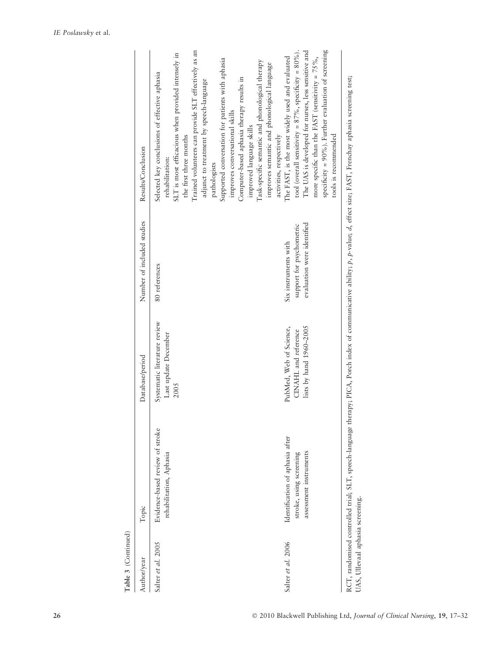| Table 3 (Continued)              |                                                                                      |                                                                                |                                                                                |                                                                                                                                                                                                                                                                                                                                                                                                                                                                                                                                                                  |
|----------------------------------|--------------------------------------------------------------------------------------|--------------------------------------------------------------------------------|--------------------------------------------------------------------------------|------------------------------------------------------------------------------------------------------------------------------------------------------------------------------------------------------------------------------------------------------------------------------------------------------------------------------------------------------------------------------------------------------------------------------------------------------------------------------------------------------------------------------------------------------------------|
| Author/year                      | $\mathop{\hbox{Topic}}$                                                              | Database/period                                                                | Number of included studies                                                     | Results/Conclusion                                                                                                                                                                                                                                                                                                                                                                                                                                                                                                                                               |
| Salter et al. 2005               | Evidence-based review of stroke<br>rehabilitation, Aphasia                           | Systematic literature review<br>Last update December<br>2005                   | 80 references                                                                  | Trained volunteers can provide SLT effectively as an<br>SLT is most efficacious when provided intensely in<br>Supported conversation for patients with aphasia<br>Task-specific semantic and phonological therapy<br>improves semantic and phonological language<br>Selected key conclusions of effective aphasia<br>Computer-based aphasia therapy results in<br>adjunct to treatment by speech-language<br>improves conversational skills<br>improved language skills<br>activities, respectively<br>the first three months<br>rehabilitation:<br>pathologists |
| Salter et al. 2006               | Identification of aphasia after<br>assessment instruments<br>stroke, using screening | lists by hand $1960 - 2005$<br>PubMed, Web of Science,<br>CINAHL and reference | evaluation were identified<br>support for psychometric<br>Six instruments with | The UAS is developed for nurses, less sensitive and<br>specificity = $90\%$ ). Further evaluation of screening<br>tool (overall sensitivity = $87\%$ , specificity = $80\%$ ).<br>The FAST, is the most widely used and evaluated<br>more specific than the FAST (sensitivity = $75\%$ ,<br>tools is recommended                                                                                                                                                                                                                                                 |
| UAS, Ullevaal aphasia screening. | RCT, randomised controlled trial; SLT, speech-language                               |                                                                                |                                                                                | therapy; PICA, Porch index of communicative ability; p, p-value; d, effect size; FAST, Frenchay aphasia screening test;                                                                                                                                                                                                                                                                                                                                                                                                                                          |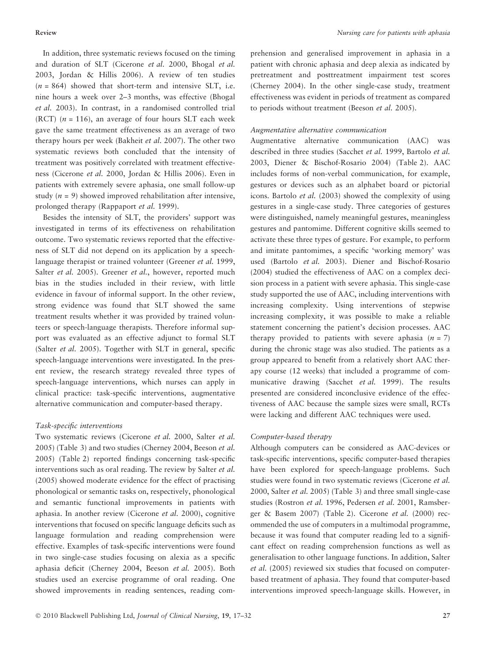In addition, three systematic reviews focused on the timing and duration of SLT (Cicerone et al. 2000, Bhogal et al. 2003, Jordan & Hillis 2006). A review of ten studies  $(n = 864)$  showed that short-term and intensive SLT, i.e. nine hours a week over 2–3 months, was effective (Bhogal et al. 2003). In contrast, in a randomised controlled trial (RCT) ( $n = 116$ ), an average of four hours SLT each week gave the same treatment effectiveness as an average of two therapy hours per week (Bakheit et al. 2007). The other two systematic reviews both concluded that the intensity of treatment was positively correlated with treatment effectiveness (Cicerone et al. 2000, Jordan & Hillis 2006). Even in patients with extremely severe aphasia, one small follow-up study ( $n = 9$ ) showed improved rehabilitation after intensive, prolonged therapy (Rappaport et al. 1999).

Besides the intensity of SLT, the providers' support was investigated in terms of its effectiveness on rehabilitation outcome. Two systematic reviews reported that the effectiveness of SLT did not depend on its application by a speechlanguage therapist or trained volunteer (Greener et al. 1999, Salter et al. 2005). Greener et al., however, reported much bias in the studies included in their review, with little evidence in favour of informal support. In the other review, strong evidence was found that SLT showed the same treatment results whether it was provided by trained volunteers or speech-language therapists. Therefore informal support was evaluated as an effective adjunct to formal SLT (Salter et al. 2005). Together with SLT in general, specific speech-language interventions were investigated. In the present review, the research strategy revealed three types of speech-language interventions, which nurses can apply in clinical practice: task-specific interventions, augmentative alternative communication and computer-based therapy.

#### Task-specific interventions

Two systematic reviews (Cicerone et al. 2000, Salter et al. 2005) (Table 3) and two studies (Cherney 2004, Beeson et al. 2005) (Table 2) reported findings concerning task-specific interventions such as oral reading. The review by Salter *et al.* (2005) showed moderate evidence for the effect of practising phonological or semantic tasks on, respectively, phonological and semantic functional improvements in patients with aphasia. In another review (Cicerone et al. 2000), cognitive interventions that focused on specific language deficits such as language formulation and reading comprehension were effective. Examples of task-specific interventions were found in two single-case studies focusing on alexia as a specific aphasia deficit (Cherney 2004, Beeson et al. 2005). Both studies used an exercise programme of oral reading. One showed improvements in reading sentences, reading comprehension and generalised improvement in aphasia in a patient with chronic aphasia and deep alexia as indicated by pretreatment and posttreatment impairment test scores (Cherney 2004). In the other single-case study, treatment effectiveness was evident in periods of treatment as compared to periods without treatment (Beeson et al. 2005).

#### Augmentative alternative communication

Augmentative alternative communication (AAC) was described in three studies (Sacchet et al. 1999, Bartolo et al. 2003, Diener & Bischof-Rosario 2004) (Table 2). AAC includes forms of non-verbal communication, for example, gestures or devices such as an alphabet board or pictorial icons. Bartolo et al. (2003) showed the complexity of using gestures in a single-case study. Three categories of gestures were distinguished, namely meaningful gestures, meaningless gestures and pantomime. Different cognitive skills seemed to activate these three types of gesture. For example, to perform and imitate pantomimes, a specific 'working memory' was used (Bartolo et al. 2003). Diener and Bischof-Rosario (2004) studied the effectiveness of AAC on a complex decision process in a patient with severe aphasia. This single-case study supported the use of AAC, including interventions with increasing complexity. Using interventions of stepwise increasing complexity, it was possible to make a reliable statement concerning the patient's decision processes. AAC therapy provided to patients with severe aphasia  $(n = 7)$ during the chronic stage was also studied. The patients as a group appeared to benefit from a relatively short AAC therapy course (12 weeks) that included a programme of communicative drawing (Sacchet et al. 1999). The results presented are considered inconclusive evidence of the effectiveness of AAC because the sample sizes were small, RCTs were lacking and different AAC techniques were used.

#### Computer-based therapy

Although computers can be considered as AAC-devices or task-specific interventions, specific computer-based therapies have been explored for speech-language problems. Such studies were found in two systematic reviews (Cicerone et al. 2000, Salter et al. 2005) (Table 3) and three small single-case studies (Rostron et al. 1996, Pedersen et al. 2001, Ramsberger & Basem 2007) (Table 2). Cicerone et al. (2000) recommended the use of computers in a multimodal programme, because it was found that computer reading led to a significant effect on reading comprehension functions as well as generalisation to other language functions. In addition, Salter et al. (2005) reviewed six studies that focused on computerbased treatment of aphasia. They found that computer-based interventions improved speech-language skills. However, in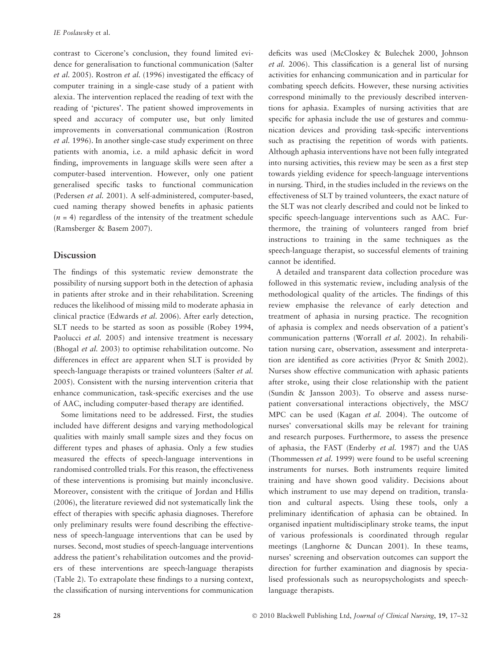contrast to Cicerone's conclusion, they found limited evidence for generalisation to functional communication (Salter et al. 2005). Rostron et al. (1996) investigated the efficacy of computer training in a single-case study of a patient with alexia. The intervention replaced the reading of text with the reading of 'pictures'. The patient showed improvements in speed and accuracy of computer use, but only limited improvements in conversational communication (Rostron et al. 1996). In another single-case study experiment on three patients with anomia, i.e. a mild aphasic deficit in word finding, improvements in language skills were seen after a computer-based intervention. However, only one patient generalised specific tasks to functional communication (Pedersen et al. 2001). A self-administered, computer-based, cued naming therapy showed benefits in aphasic patients  $(n = 4)$  regardless of the intensity of the treatment schedule (Ramsberger & Basem 2007).

### Discussion

The findings of this systematic review demonstrate the possibility of nursing support both in the detection of aphasia in patients after stroke and in their rehabilitation. Screening reduces the likelihood of missing mild to moderate aphasia in clinical practice (Edwards et al. 2006). After early detection, SLT needs to be started as soon as possible (Robey 1994, Paolucci et al. 2005) and intensive treatment is necessary (Bhogal et al. 2003) to optimise rehabilitation outcome. No differences in effect are apparent when SLT is provided by speech-language therapists or trained volunteers (Salter et al. 2005). Consistent with the nursing intervention criteria that enhance communication, task-specific exercises and the use of AAC, including computer-based therapy are identified.

Some limitations need to be addressed. First, the studies included have different designs and varying methodological qualities with mainly small sample sizes and they focus on different types and phases of aphasia. Only a few studies measured the effects of speech-language interventions in randomised controlled trials. For this reason, the effectiveness of these interventions is promising but mainly inconclusive. Moreover, consistent with the critique of Jordan and Hillis (2006), the literature reviewed did not systematically link the effect of therapies with specific aphasia diagnoses. Therefore only preliminary results were found describing the effectiveness of speech-language interventions that can be used by nurses. Second, most studies of speech-language interventions address the patient's rehabilitation outcomes and the providers of these interventions are speech-language therapists (Table 2). To extrapolate these findings to a nursing context, the classification of nursing interventions for communication

deficits was used (McCloskey & Bulechek 2000, Johnson et al. 2006). This classification is a general list of nursing activities for enhancing communication and in particular for combating speech deficits. However, these nursing activities correspond minimally to the previously described interventions for aphasia. Examples of nursing activities that are specific for aphasia include the use of gestures and communication devices and providing task-specific interventions such as practising the repetition of words with patients. Although aphasia interventions have not been fully integrated into nursing activities, this review may be seen as a first step towards yielding evidence for speech-language interventions in nursing. Third, in the studies included in the reviews on the effectiveness of SLT by trained volunteers, the exact nature of the SLT was not clearly described and could not be linked to specific speech-language interventions such as AAC. Furthermore, the training of volunteers ranged from brief instructions to training in the same techniques as the speech-language therapist, so successful elements of training cannot be identified.

A detailed and transparent data collection procedure was followed in this systematic review, including analysis of the methodological quality of the articles. The findings of this review emphasise the relevance of early detection and treatment of aphasia in nursing practice. The recognition of aphasia is complex and needs observation of a patient's communication patterns (Worrall et al. 2002). In rehabilitation nursing care, observation, assessment and interpretation are identified as core activities (Pryor & Smith 2002). Nurses show effective communication with aphasic patients after stroke, using their close relationship with the patient (Sundin & Jansson 2003). To observe and assess nursepatient conversational interactions objectively, the MSC/ MPC can be used (Kagan et al. 2004). The outcome of nurses' conversational skills may be relevant for training and research purposes. Furthermore, to assess the presence of aphasia, the FAST (Enderby et al. 1987) and the UAS (Thommessen et al. 1999) were found to be useful screening instruments for nurses. Both instruments require limited training and have shown good validity. Decisions about which instrument to use may depend on tradition, translation and cultural aspects. Using these tools, only a preliminary identification of aphasia can be obtained. In organised inpatient multidisciplinary stroke teams, the input of various professionals is coordinated through regular meetings (Langhorne & Duncan 2001). In these teams, nurses' screening and observation outcomes can support the direction for further examination and diagnosis by specialised professionals such as neuropsychologists and speechlanguage therapists.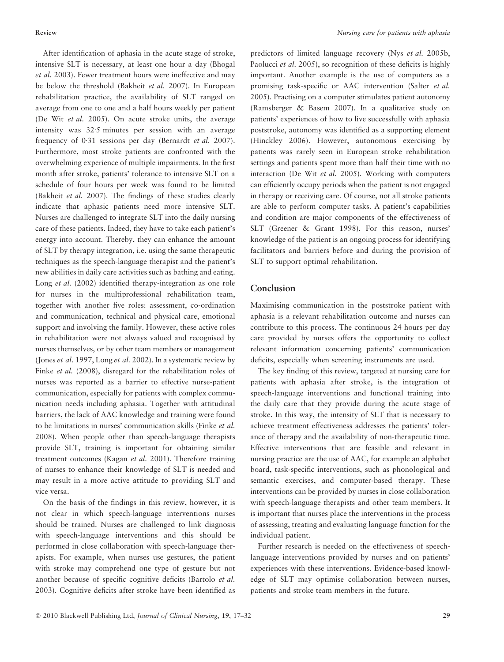After identification of aphasia in the acute stage of stroke, intensive SLT is necessary, at least one hour a day (Bhogal et al. 2003). Fewer treatment hours were ineffective and may be below the threshold (Bakheit et al. 2007). In European rehabilitation practice, the availability of SLT ranged on average from one to one and a half hours weekly per patient (De Wit et al. 2005). On acute stroke units, the average intensity was  $32.5$  minutes per session with an average frequency of  $0.31$  sessions per day (Bernardt *et al.* 2007). Furthermore, most stroke patients are confronted with the overwhelming experience of multiple impairments. In the first month after stroke, patients' tolerance to intensive SLT on a schedule of four hours per week was found to be limited (Bakheit et al. 2007). The findings of these studies clearly indicate that aphasic patients need more intensive SLT. Nurses are challenged to integrate SLT into the daily nursing care of these patients. Indeed, they have to take each patient's energy into account. Thereby, they can enhance the amount of SLT by therapy integration, i.e. using the same therapeutic techniques as the speech-language therapist and the patient's new abilities in daily care activities such as bathing and eating. Long et al. (2002) identified therapy-integration as one role for nurses in the multiprofessional rehabilitation team, together with another five roles: assessment, co-ordination and communication, technical and physical care, emotional support and involving the family. However, these active roles in rehabilitation were not always valued and recognised by nurses themselves, or by other team members or management (Jones et al. 1997, Long et al. 2002). In a systematic review by Finke et al. (2008), disregard for the rehabilitation roles of nurses was reported as a barrier to effective nurse-patient communication, especially for patients with complex communication needs including aphasia. Together with attitudinal barriers, the lack of AAC knowledge and training were found to be limitations in nurses' communication skills (Finke et al. 2008). When people other than speech-language therapists provide SLT, training is important for obtaining similar treatment outcomes (Kagan et al. 2001). Therefore training of nurses to enhance their knowledge of SLT is needed and may result in a more active attitude to providing SLT and vice versa.

On the basis of the findings in this review, however, it is not clear in which speech-language interventions nurses should be trained. Nurses are challenged to link diagnosis with speech-language interventions and this should be performed in close collaboration with speech-language therapists. For example, when nurses use gestures, the patient with stroke may comprehend one type of gesture but not another because of specific cognitive deficits (Bartolo et al. 2003). Cognitive deficits after stroke have been identified as

predictors of limited language recovery (Nys et al. 2005b, Paolucci et al. 2005), so recognition of these deficits is highly important. Another example is the use of computers as a promising task-specific or AAC intervention (Salter et al. 2005). Practising on a computer stimulates patient autonomy (Ramsberger & Basem 2007). In a qualitative study on patients' experiences of how to live successfully with aphasia poststroke, autonomy was identified as a supporting element (Hinckley 2006). However, autonomous exercising by patients was rarely seen in European stroke rehabilitation settings and patients spent more than half their time with no interaction (De Wit et al. 2005). Working with computers can efficiently occupy periods when the patient is not engaged in therapy or receiving care. Of course, not all stroke patients are able to perform computer tasks. A patient's capabilities and condition are major components of the effectiveness of SLT (Greener & Grant 1998). For this reason, nurses' knowledge of the patient is an ongoing process for identifying facilitators and barriers before and during the provision of SLT to support optimal rehabilitation.

# Conclusion

Maximising communication in the poststroke patient with aphasia is a relevant rehabilitation outcome and nurses can contribute to this process. The continuous 24 hours per day care provided by nurses offers the opportunity to collect relevant information concerning patients' communication deficits, especially when screening instruments are used.

The key finding of this review, targeted at nursing care for patients with aphasia after stroke, is the integration of speech-language interventions and functional training into the daily care that they provide during the acute stage of stroke. In this way, the intensity of SLT that is necessary to achieve treatment effectiveness addresses the patients' tolerance of therapy and the availability of non-therapeutic time. Effective interventions that are feasible and relevant in nursing practice are the use of AAC, for example an alphabet board, task-specific interventions, such as phonological and semantic exercises, and computer-based therapy. These interventions can be provided by nurses in close collaboration with speech-language therapists and other team members. It is important that nurses place the interventions in the process of assessing, treating and evaluating language function for the individual patient.

Further research is needed on the effectiveness of speechlanguage interventions provided by nurses and on patients' experiences with these interventions. Evidence-based knowledge of SLT may optimise collaboration between nurses, patients and stroke team members in the future.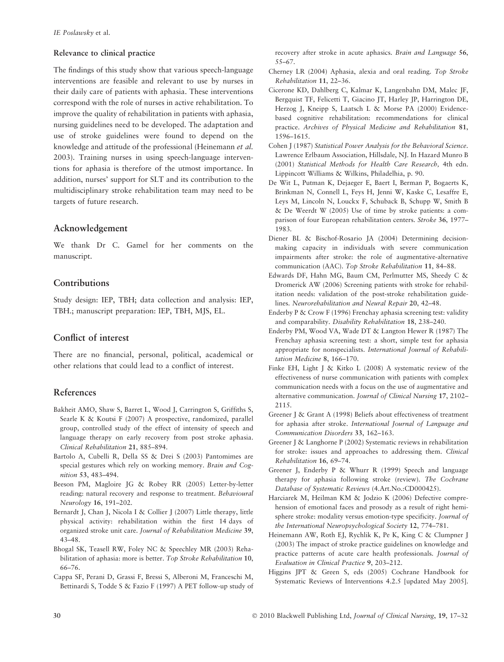#### Relevance to clinical practice

The findings of this study show that various speech-language interventions are feasible and relevant to use by nurses in their daily care of patients with aphasia. These interventions correspond with the role of nurses in active rehabilitation. To improve the quality of rehabilitation in patients with aphasia, nursing guidelines need to be developed. The adaptation and use of stroke guidelines were found to depend on the knowledge and attitude of the professional (Heinemann et al. 2003). Training nurses in using speech-language interventions for aphasia is therefore of the utmost importance. In addition, nurses' support for SLT and its contribution to the multidisciplinary stroke rehabilitation team may need to be targets of future research.

# Acknowledgement

We thank Dr C. Gamel for her comments on the manuscript.

## **Contributions**

Study design: IEP, TBH; data collection and analysis: IEP, TBH.; manuscript preparation: IEP, TBH, MJS, EL.

# Conflict of interest

There are no financial, personal, political, academical or other relations that could lead to a conflict of interest.

# References

- Bakheit AMO, Shaw S, Barret L, Wood J, Carrington S, Griffiths S, Searle K & Koutsi F (2007) A prospective, randomized, parallel group, controlled study of the effect of intensity of speech and language therapy on early recovery from post stroke aphasia. Clinical Rehabilitation 21, 885–894.
- Bartolo A, Cubelli R, Della SS & Drei S (2003) Pantomimes are special gestures which rely on working memory. Brain and Cognition 53, 483–494.
- Beeson PM, Magloire JG & Robey RR (2005) Letter-by-letter reading: natural recovery and response to treatment. Behavioural Neurology 16, 191–202.
- Bernardt J, Chan J, Nicola I & Collier J (2007) Little therapy, little physical activity: rehabilitation within the first 14 days of organized stroke unit care. Journal of Rehabilitation Medicine 39, 43–48.
- Bhogal SK, Teasell RW, Foley NC & Speechley MR (2003) Rehabilitation of aphasia: more is better. Top Stroke Rehabilitation 10, 66–76.
- Cappa SF, Perani D, Grassi F, Bressi S, Alberoni M, Franceschi M, Bettinardi S, Todde S & Fazio F (1997) A PET follow-up study of

recovery after stroke in acute aphasics. Brain and Language 56, 55–67.

- Cherney LR (2004) Aphasia, alexia and oral reading. Top Stroke Rehabilitation 11, 22–36.
- Cicerone KD, Dahlberg C, Kalmar K, Langenbahn DM, Malec JF, Bergquist TF, Felicetti T, Giacino JT, Harley JP, Harrington DE, Herzog J, Kneipp S, Laatsch L & Morse PA (2000) Evidencebased cognitive rehabilitation: recommendations for clinical practice. Archives of Physical Medicine and Rehabilitation 81, 1596–1615.
- Cohen J (1987) Statistical Power Analysis for the Behavioral Science. Lawrence Erlbaum Association, Hillsdale, NJ. In Hazard Munro B (2001) Statistical Methods for Health Care Research, 4th edn. Lippincott Williams & Wilkins, Philadelhia, p. 90.
- De Wit L, Putman K, Dejaeger E, Baert I, Berman P, Bogaerts K, Brinkman N, Connell L, Feys H, Jenni W, Kaske C, Lesaffre E, Leys M, Lincoln N, Louckx F, Schuback B, Schupp W, Smith B & De Weerdt W (2005) Use of time by stroke patients: a comparison of four European rehabilitation centers. Stroke 36, 1977– 1983.
- Diener BL & Bischof-Rosario JA (2004) Determining decisionmaking capacity in individuals with severe communication impairments after stroke: the role of augmentative-alternative communication (AAC). Top Stroke Rehabilitation 11, 84–88.
- Edwards DF, Hahn MG, Baum CM, Perlmutter MS, Sheedy C & Dromerick AW (2006) Screening patients with stroke for rehabilitation needs: validation of the post-stroke rehabilitation guidelines. Neurorehabilitation and Neural Repair 20, 42–48.
- Enderby P & Crow F (1996) Frenchay aphasia screening test: validity and comparability. Disability Rehabilitation 18, 238–240.
- Enderby PM, Wood VA, Wade DT & Langton Hewer R (1987) The Frenchay aphasia screening test: a short, simple test for aphasia appropriate for nonspecialists. International Journal of Rehabilitation Medicine 8, 166–170.
- Finke EH, Light J & Kitko L (2008) A systematic review of the effectiveness of nurse communication with patients with complex communication needs with a focus on the use of augmentative and alternative communication. Journal of Clinical Nursing 17, 2102– 2115.
- Greener J & Grant A (1998) Beliefs about effectiveness of treatment for aphasia after stroke. International Journal of Language and Communication Disorders 33, 162–163.
- Greener J & Langhorne P (2002) Systematic reviews in rehabilitation for stroke: issues and approaches to addressing them. Clinical Rehabilitation 16, 69–74.
- Greener J, Enderby P & Whurr R (1999) Speech and language therapy for aphasia following stroke (review). The Cochrane Database of Systematic Reviews (4.Art.No.:CD000425).
- Harciarek M, Heilman KM & Jodzio K (2006) Defective comprehension of emotional faces and prosody as a result of right hemisphere stroke: modality versus emotion-type specificity. Journal of the International Neuropsychological Society 12, 774–781.
- Heinemann AW, Roth EJ, Rychlik K, Pe K, King C & Clumpner J (2003) The impact of stroke practice guidelines on knowledge and practice patterns of acute care health professionals. Journal of Evaluation in Clinical Practice 9, 203–212.
- Higgins JPT & Green S, eds (2005) Cochrane Handbook for Systematic Reviews of Interventions 4.2.5 [updated May 2005].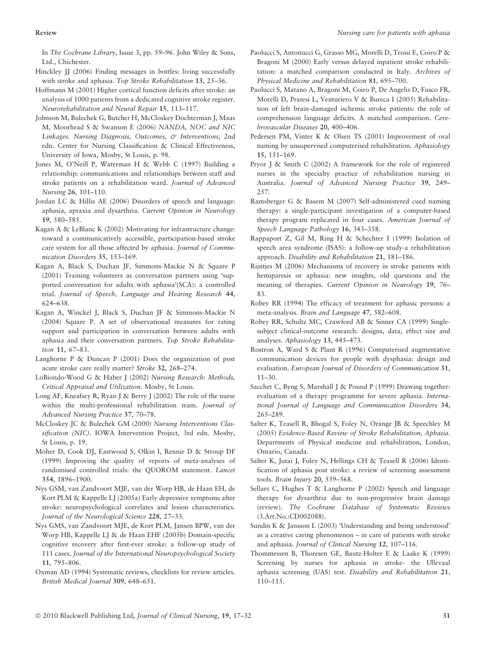In The Cochrane Library, Issue 3, pp. 59–96. John Wiley & Sons, Ltd., Chichester.

- Hinckley JJ (2006) Finding messages in bottles: living successfully with stroke and aphasia. Top Stroke Rehabilitation 13, 25–36.
- Hoffmann M (2001) Higher cortical function deficits after stroke: an analysis of 1000 patients from a dedicated cognitive stroke register. Neurorehabilitation and Neural Repair 15, 113–117.
- Johnson M, Bulechek G, Butcher H, McCloskey Dochterman J, Maas M, Moorhead S & Swanson E (2006) NANDA, NOC and NIC Linkages. Nursing Diagnosis, Outcomes, & Interventions, 2nd edn. Center for Nursing Classification & Clinical Effectiveness, University of Iowa, Mosby, St Louis, p. 98.
- Jones M, O'Neill P, Waterman H & Webb C (1997) Building a relationship: communications and relationships between staff and stroke patients on a rehabilitation ward. Journal of Advanced Nursing 26, 101–110.
- Jordan LC & Hillis AE (2006) Disorders of speech and language: aphasia, apraxia and dysarthria. Current Opinion in Neurology 19, 580–585.
- Kagan A & LeBlanc K (2002) Motivating for infrastructure change: toward a communicatively accessible, participation-based stroke care system for all those affected by aphasia. Journal of Communication Disorders 35, 153–169.
- Kagan A, Black S, Duchan JF, Simmons-Mackie N & Square P (2001) Training volunteers as conversation partners using 'supported conversation for adults with aphasia'(SCA): a controlled trial. Journal of Speech, Language and Hearing Research 44, 624–638.
- Kagan A, Winckel J, Black S, Duchan JF & Simmons-Mackie N (2004) Square P. A set of observational measures for rating support and participation in conversation between adults with aphasia and their conversation partners. Top Stroke Rehabilitation 11, 67-83.
- Langhorne P & Duncan P (2001) Does the organization of post acute stroke care really matter? Stroke 32, 268–274.
- LoBiondo-Wood G & Haber J (2002) Nursing Research: Methods, Critical Appraisal and Utilization. Mosby, St Louis.
- Long AF, Kneafsey R, Ryan J & Berry J (2002) The role of the nurse within the multi-professional rehabilitation team. Journal of Advanced Nursing Practice 37, 70–78.
- McCloskey JC & Bulechek GM (2000) Nursing Interventions Classification (NIC). IOWA Intervention Project, 3rd edn. Mosby, St Louis, p. 19.
- Moher D, Cook DJ, Eastwood S, Olkin I, Rennie D & Stroup DF (1999) Improving the quality of reports of meta-analyses of randomised controlled trials: the QUOROM statement. Lancet 354, 1896–1900.
- Nys GSM, van Zandvoort MJE, van der Worp HB, de Haan EH, de Kort PLM & Kappelle LJ (2005a) Early depressive symptoms after stroke: neuropsychological correlates and lesion characteristics. Journal of the Neurological Science 228, 27–33.
- Nys GMS, van Zandvoort MJE, de Kort PLM, Jansen BPW, van der Worp HB, Kappelle LJ & de Haan EHF (2005b) Domain-specific cognitive recovery after first-ever stroke: a follow-up study of 111 cases. Journal of the International Neuropsychological Society 11, 795–806.
- Oxman AD (1994) Systematic reviews, checklists for review articles. British Medical Journal 309, 648–651.
- Paolucci S, Antonucci G, Grasso MG, Morelli D, Troisi E, Coiro P & Bragoni M (2000) Early versus delayed inpatient stroke rehabilitation: a matched comparison conducted in Italy. Archives of Physical Medicine and Rehabilitation 81, 695–700.
- Paolucci S, Matano A, Bragoni M, Coiro P, De Angelis D, Fusco FR, Morelli D, Pratesi L, Venturiero V & Bureca I (2005) Rehabilitation of left brain-damaged ischemic stroke patients: the role of comprehension language deficits. A matched comparison. Cerebrovascular Diseases 20, 400–406.
- Pedersen PM, Vinter K & Olsen TS (2001) Improvement of oral naming by unsupervised computerised rehabilitation. Aphasiology 15, 151–169.
- Pryor J & Smith C (2002) A framework for the role of registered nurses in the specialty practice of rehabilitation nursing in Australia. Journal of Advanced Nursing Practice 39, 249– 257.
- Ramsberger G & Basem M (2007) Self-administered cued naming therapy: a single-participant investigation of a computer-based therapy program replicated in four cases. American Journal of Speech Language Pathology 16, 343–358.
- Rappaport Z, Gil M, Ring H & Schechter I (1999) Isolation of speech area syndrome (ISAS): a follow-up study-a rehabilitation approach. Disability and Rehabilitation 21, 181–186.
- Rijntjes M (2006) Mechanisms of recovery in stroke patients with hemiparesis or aphasia: new insights, old questions and the meaning of therapies. Current Opinion in Neurology 19, 76– 83.
- Robey RR (1994) The efficacy of treatment for aphasic persons: a meta-analysis. Brain and Language 47, 582–608.
- Robey RR, Schultz MC, Crawford AB & Sinner CA (1999) Singlesubject clinical-outcome research: designs, data, effect size and analyses. Aphasiology 13, 445–473.
- Rostron A, Ward S & Plant R (1996) Computerised augmentative communication devices for people with dysphasia: design and evaluation. European Journal of Disorders of Communication 31, 11–30.
- Sacchet C, Byng S, Marshall J & Pound P (1999) Drawing together: evaluation of a therapy programme for severe aphasia. International Journal of Language and Communication Disorders 34, 265–289.
- Salter K, Teasell R, Bhogal S, Foley N, Orange JB & Speechley M (2005) Evidence-Based Review of Stroke Rehabilitation, Aphasia. Departments of Physical medicine and rehabilitation, London, Ontario, Canada.
- Salter K, Jutai J, Foley N, Hellings CH & Teasell R (2006) Identification of aphasia post stroke: a review of screening assessment tools. Brain Injury 20, 559–568.
- Sellars C, Hughes T & Langhorne P (2002) Speech and language therapy for dysarthria due to non-progressive brain damage (review). The Cochrane Database of Systematic Reviews (3.Art.No.:CD002088).
- Sundin K & Jansson L (2003) 'Understanding and being understood' as a creative caring phenomenon – in care of patients with stroke and aphasia. Journal of Clinical Nursing 12, 107–116.
- Thommessen B, Thoresen GE, Bautz-Holter E & Laake K (1999) Screening by nurses for aphasia in stroke- the Ullevaal aphasia screening (UAS) test. Disability and Rehabilitation 21, 110–115.